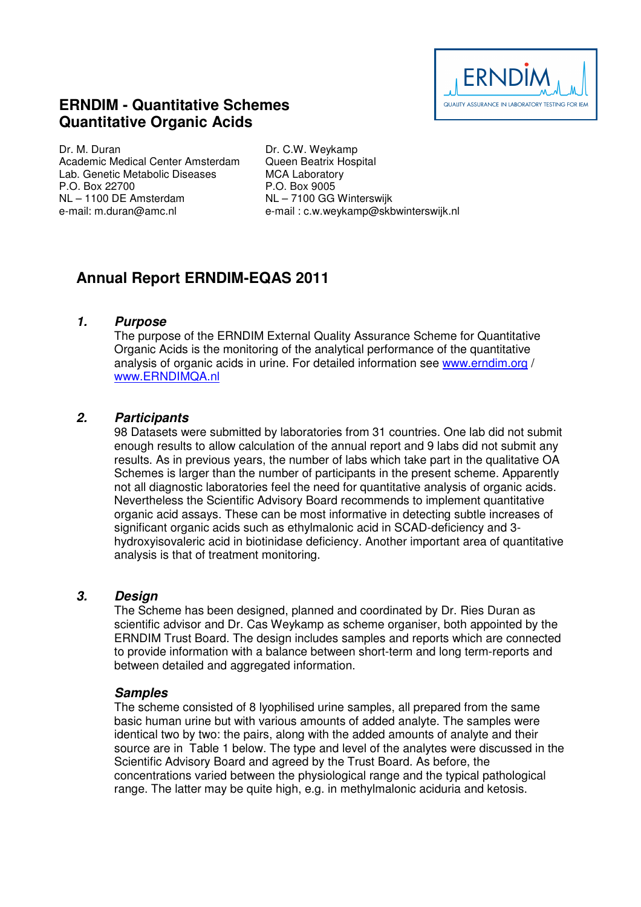

# **ERNDIM - Quantitative Schemes Quantitative Organic Acids**

Dr. M. Duran Academic Medical Center Amsterdam Lab. Genetic Metabolic Diseases P.O. Box 22700 NL – 1100 DE Amsterdam e-mail: m.duran@amc.nl

Dr. C.W. Weykamp Queen Beatrix Hospital MCA Laboratory P.O. Box 9005 NL – 7100 GG Winterswijk e-mail : c.w.weykamp@skbwinterswijk.nl

# **Annual Report ERNDIM-EQAS 2011**

# **1. Purpose**

The purpose of the ERNDIM External Quality Assurance Scheme for Quantitative Organic Acids is the monitoring of the analytical performance of the quantitative analysis of organic acids in urine. For detailed information see www.erndim.org / www.ERNDIMQA.nl

#### **2. Participants**

98 Datasets were submitted by laboratories from 31 countries. One lab did not submit enough results to allow calculation of the annual report and 9 labs did not submit any results. As in previous years, the number of labs which take part in the qualitative OA Schemes is larger than the number of participants in the present scheme. Apparently not all diagnostic laboratories feel the need for quantitative analysis of organic acids. Nevertheless the Scientific Advisory Board recommends to implement quantitative organic acid assays. These can be most informative in detecting subtle increases of significant organic acids such as ethylmalonic acid in SCAD-deficiency and 3 hydroxyisovaleric acid in biotinidase deficiency. Another important area of quantitative analysis is that of treatment monitoring.

#### **3. Design**

The Scheme has been designed, planned and coordinated by Dr. Ries Duran as scientific advisor and Dr. Cas Weykamp as scheme organiser, both appointed by the ERNDIM Trust Board. The design includes samples and reports which are connected to provide information with a balance between short-term and long term-reports and between detailed and aggregated information.

#### **Samples**

The scheme consisted of 8 lyophilised urine samples, all prepared from the same basic human urine but with various amounts of added analyte. The samples were identical two by two: the pairs, along with the added amounts of analyte and their source are in Table 1 below. The type and level of the analytes were discussed in the Scientific Advisory Board and agreed by the Trust Board. As before, the concentrations varied between the physiological range and the typical pathological range. The latter may be quite high, e.g. in methylmalonic aciduria and ketosis.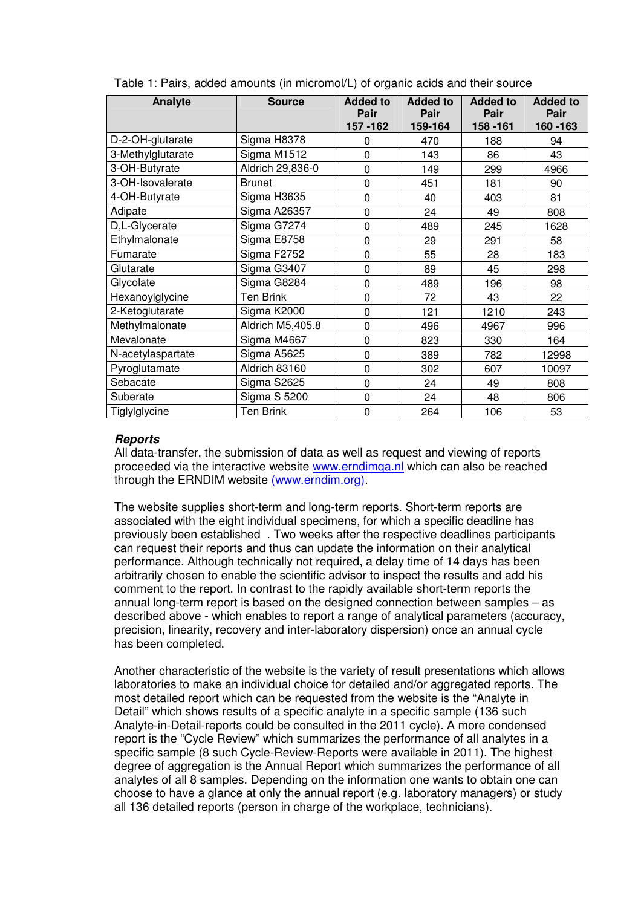| Analyte           | <b>Source</b>       | <b>Added to</b><br>Pair<br>157 - 162 | <b>Added to</b><br>Pair<br>159-164 | <b>Added to</b><br>Pair<br>158 - 161 | <b>Added to</b><br>Pair<br>160 - 163 |
|-------------------|---------------------|--------------------------------------|------------------------------------|--------------------------------------|--------------------------------------|
| D-2-OH-glutarate  | Sigma H8378         | 0                                    | 470                                | 188                                  | 94                                   |
| 3-Methylglutarate | Sigma M1512         | $\mathbf 0$                          | 143                                | 86                                   | 43                                   |
| 3-OH-Butyrate     | Aldrich 29,836-0    | $\mathbf 0$                          | 149                                | 299                                  | 4966                                 |
| 3-OH-Isovalerate  | <b>Brunet</b>       | $\mathbf 0$                          | 451                                | 181                                  | 90                                   |
| 4-OH-Butyrate     | Sigma H3635         | $\mathbf 0$                          | 40                                 | 403                                  | 81                                   |
| Adipate           | Sigma A26357        | $\mathbf 0$                          | 24                                 | 49                                   | 808                                  |
| D,L-Glycerate     | Sigma G7274         | 0                                    | 489                                | 245                                  | 1628                                 |
| Ethylmalonate     | Sigma E8758         | $\mathbf 0$                          | 29                                 | 291                                  | 58                                   |
| Fumarate          | Sigma F2752         | $\mathbf 0$                          | 55                                 | 28                                   | 183                                  |
| Glutarate         | Sigma G3407         | $\mathbf 0$                          | 89                                 | 45                                   | 298                                  |
| Glycolate         | Sigma G8284         | $\mathbf 0$                          | 489                                | 196                                  | 98                                   |
| Hexanoylglycine   | <b>Ten Brink</b>    | $\mathbf 0$                          | 72                                 | 43                                   | 22                                   |
| 2-Ketoglutarate   | Sigma K2000         | $\mathbf 0$                          | 121                                | 1210                                 | 243                                  |
| Methylmalonate    | Aldrich M5,405.8    | $\mathbf 0$                          | 496                                | 4967                                 | 996                                  |
| Mevalonate        | Sigma M4667         | 0                                    | 823                                | 330                                  | 164                                  |
| N-acetylaspartate | Sigma A5625         | $\mathbf 0$                          | 389                                | 782                                  | 12998                                |
| Pyroglutamate     | Aldrich 83160       | 0                                    | 302                                | 607                                  | 10097                                |
| Sebacate          | Sigma S2625         | $\mathbf{0}$                         | 24                                 | 49                                   | 808                                  |
| Suberate          | <b>Sigma S 5200</b> | $\mathbf 0$                          | 24                                 | 48                                   | 806                                  |
| Tiglylglycine     | <b>Ten Brink</b>    | $\mathbf 0$                          | 264                                | 106                                  | 53                                   |

Table 1: Pairs, added amounts (in micromol/L) of organic acids and their source

#### **Reports**

All data-transfer, the submission of data as well as request and viewing of reports proceeded via the interactive website www.erndimqa.nl which can also be reached through the ERNDIM website (www.erndim.org).

The website supplies short-term and long-term reports. Short-term reports are associated with the eight individual specimens, for which a specific deadline has previously been established . Two weeks after the respective deadlines participants can request their reports and thus can update the information on their analytical performance. Although technically not required, a delay time of 14 days has been arbitrarily chosen to enable the scientific advisor to inspect the results and add his comment to the report. In contrast to the rapidly available short-term reports the annual long-term report is based on the designed connection between samples – as described above - which enables to report a range of analytical parameters (accuracy, precision, linearity, recovery and inter-laboratory dispersion) once an annual cycle has been completed.

Another characteristic of the website is the variety of result presentations which allows laboratories to make an individual choice for detailed and/or aggregated reports. The most detailed report which can be requested from the website is the "Analyte in Detail" which shows results of a specific analyte in a specific sample (136 such Analyte-in-Detail-reports could be consulted in the 2011 cycle). A more condensed report is the "Cycle Review" which summarizes the performance of all analytes in a specific sample (8 such Cycle-Review-Reports were available in 2011). The highest degree of aggregation is the Annual Report which summarizes the performance of all analytes of all 8 samples. Depending on the information one wants to obtain one can choose to have a glance at only the annual report (e.g. laboratory managers) or study all 136 detailed reports (person in charge of the workplace, technicians).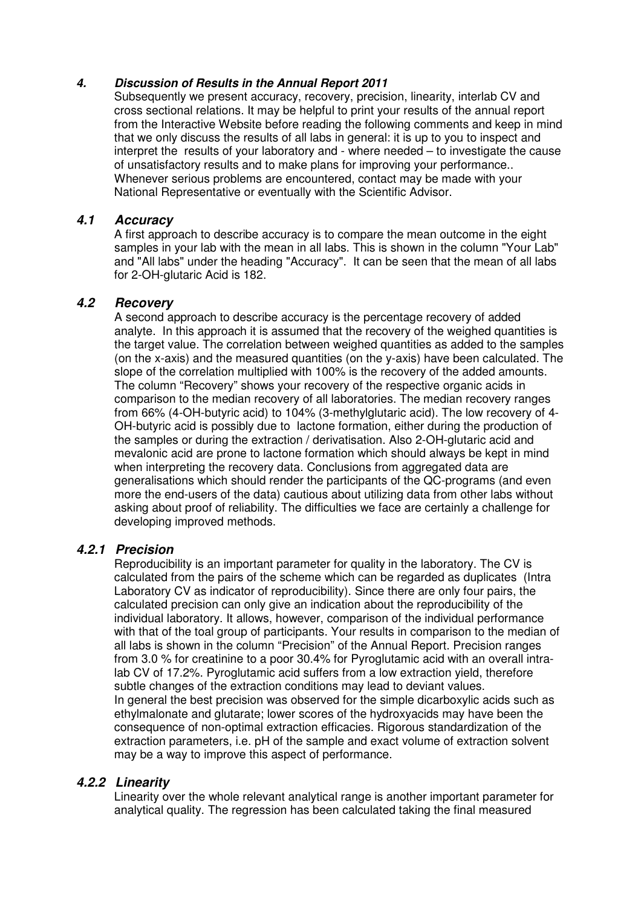# **4. Discussion of Results in the Annual Report 2011**

Subsequently we present accuracy, recovery, precision, linearity, interlab CV and cross sectional relations. It may be helpful to print your results of the annual report from the Interactive Website before reading the following comments and keep in mind that we only discuss the results of all labs in general: it is up to you to inspect and interpret the results of your laboratory and - where needed – to investigate the cause of unsatisfactory results and to make plans for improving your performance.. Whenever serious problems are encountered, contact may be made with your National Representative or eventually with the Scientific Advisor.

#### **4.1 Accuracy**

A first approach to describe accuracy is to compare the mean outcome in the eight samples in your lab with the mean in all labs. This is shown in the column "Your Lab" and "All labs" under the heading "Accuracy". It can be seen that the mean of all labs for 2-OH-glutaric Acid is 182.

#### **4.2 Recovery**

A second approach to describe accuracy is the percentage recovery of added analyte. In this approach it is assumed that the recovery of the weighed quantities is the target value. The correlation between weighed quantities as added to the samples (on the x-axis) and the measured quantities (on the y-axis) have been calculated. The slope of the correlation multiplied with 100% is the recovery of the added amounts. The column "Recovery" shows your recovery of the respective organic acids in comparison to the median recovery of all laboratories. The median recovery ranges from 66% (4-OH-butyric acid) to 104% (3-methylglutaric acid). The low recovery of 4- OH-butyric acid is possibly due to lactone formation, either during the production of the samples or during the extraction / derivatisation. Also 2-OH-glutaric acid and mevalonic acid are prone to lactone formation which should always be kept in mind when interpreting the recovery data. Conclusions from aggregated data are generalisations which should render the participants of the QC-programs (and even more the end-users of the data) cautious about utilizing data from other labs without asking about proof of reliability. The difficulties we face are certainly a challenge for developing improved methods.

# **4.2.1 Precision**

Reproducibility is an important parameter for quality in the laboratory. The CV is calculated from the pairs of the scheme which can be regarded as duplicates (Intra Laboratory CV as indicator of reproducibility). Since there are only four pairs, the calculated precision can only give an indication about the reproducibility of the individual laboratory. It allows, however, comparison of the individual performance with that of the toal group of participants. Your results in comparison to the median of all labs is shown in the column "Precision" of the Annual Report. Precision ranges from 3.0 % for creatinine to a poor 30.4% for Pyroglutamic acid with an overall intralab CV of 17.2%. Pyroglutamic acid suffers from a low extraction yield, therefore subtle changes of the extraction conditions may lead to deviant values. In general the best precision was observed for the simple dicarboxylic acids such as ethylmalonate and glutarate; lower scores of the hydroxyacids may have been the consequence of non-optimal extraction efficacies. Rigorous standardization of the extraction parameters, i.e. pH of the sample and exact volume of extraction solvent may be a way to improve this aspect of performance.

# **4.2.2 Linearity**

Linearity over the whole relevant analytical range is another important parameter for analytical quality. The regression has been calculated taking the final measured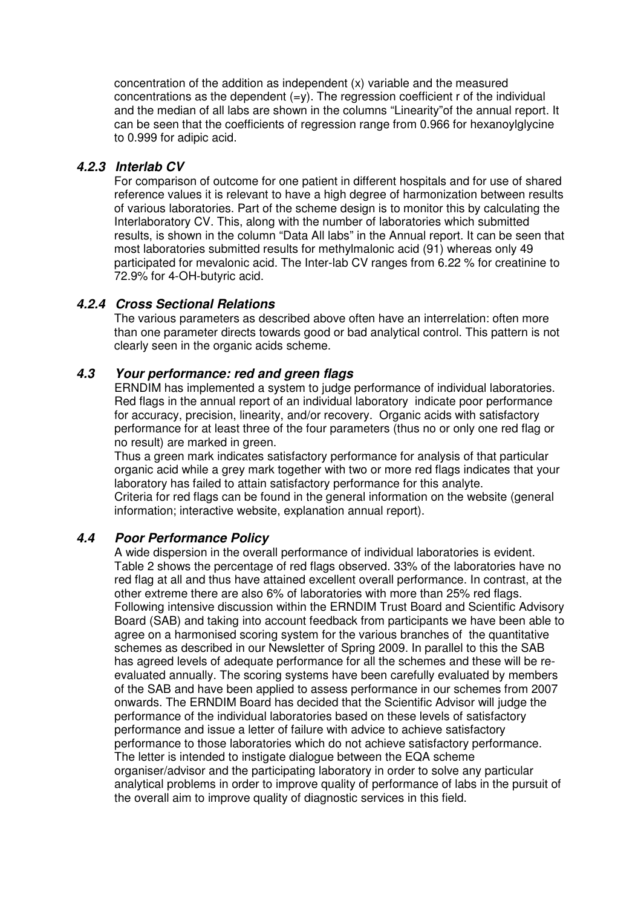concentration of the addition as independent (x) variable and the measured concentrations as the dependent  $(=v)$ . The regression coefficient r of the individual and the median of all labs are shown in the columns "Linearity"of the annual report. It can be seen that the coefficients of regression range from 0.966 for hexanoylglycine to 0.999 for adipic acid.

# **4.2.3 Interlab CV**

For comparison of outcome for one patient in different hospitals and for use of shared reference values it is relevant to have a high degree of harmonization between results of various laboratories. Part of the scheme design is to monitor this by calculating the Interlaboratory CV. This, along with the number of laboratories which submitted results, is shown in the column "Data All labs" in the Annual report. It can be seen that most laboratories submitted results for methylmalonic acid (91) whereas only 49 participated for mevalonic acid. The Inter-lab CV ranges from 6.22 % for creatinine to 72.9% for 4-OH-butyric acid.

# **4.2.4 Cross Sectional Relations**

The various parameters as described above often have an interrelation: often more than one parameter directs towards good or bad analytical control. This pattern is not clearly seen in the organic acids scheme.

# **4.3 Your performance: red and green flags**

ERNDIM has implemented a system to judge performance of individual laboratories. Red flags in the annual report of an individual laboratory indicate poor performance for accuracy, precision, linearity, and/or recovery. Organic acids with satisfactory performance for at least three of the four parameters (thus no or only one red flag or no result) are marked in green.

Thus a green mark indicates satisfactory performance for analysis of that particular organic acid while a grey mark together with two or more red flags indicates that your laboratory has failed to attain satisfactory performance for this analyte. Criteria for red flags can be found in the general information on the website (general information; interactive website, explanation annual report).

# **4.4 Poor Performance Policy**

A wide dispersion in the overall performance of individual laboratories is evident. Table 2 shows the percentage of red flags observed. 33% of the laboratories have no red flag at all and thus have attained excellent overall performance. In contrast, at the other extreme there are also 6% of laboratories with more than 25% red flags. Following intensive discussion within the ERNDIM Trust Board and Scientific Advisory Board (SAB) and taking into account feedback from participants we have been able to agree on a harmonised scoring system for the various branches of the quantitative schemes as described in our Newsletter of Spring 2009. In parallel to this the SAB has agreed levels of adequate performance for all the schemes and these will be reevaluated annually. The scoring systems have been carefully evaluated by members of the SAB and have been applied to assess performance in our schemes from 2007 onwards. The ERNDIM Board has decided that the Scientific Advisor will judge the performance of the individual laboratories based on these levels of satisfactory performance and issue a letter of failure with advice to achieve satisfactory performance to those laboratories which do not achieve satisfactory performance. The letter is intended to instigate dialogue between the EQA scheme organiser/advisor and the participating laboratory in order to solve any particular analytical problems in order to improve quality of performance of labs in the pursuit of the overall aim to improve quality of diagnostic services in this field.